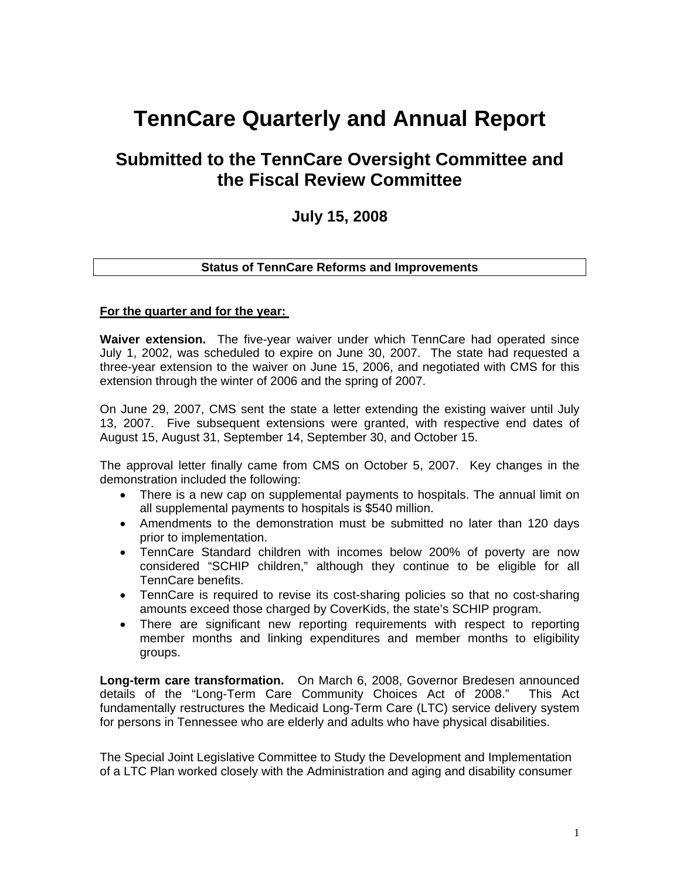# **TennCare Quarterly and Annual Report**

## **Submitted to the TennCare Oversight Committee and the Fiscal Review Committee**

## **July 15, 2008**

#### **Status of TennCare Reforms and Improvements**

#### **For the quarter and for the year:**

**Waiver extension.** The five-year waiver under which TennCare had operated since July 1, 2002, was scheduled to expire on June 30, 2007. The state had requested a three-year extension to the waiver on June 15, 2006, and negotiated with CMS for this extension through the winter of 2006 and the spring of 2007.

On June 29, 2007, CMS sent the state a letter extending the existing waiver until July 13, 2007. Five subsequent extensions were granted, with respective end dates of August 15, August 31, September 14, September 30, and October 15.

The approval letter finally came from CMS on October 5, 2007. Key changes in the demonstration included the following:

- There is a new cap on supplemental payments to hospitals. The annual limit on all supplemental payments to hospitals is \$540 million.
- Amendments to the demonstration must be submitted no later than 120 days prior to implementation.
- TennCare Standard children with incomes below 200% of poverty are now considered "SCHIP children," although they continue to be eligible for all TennCare benefits.
- TennCare is required to revise its cost-sharing policies so that no cost-sharing amounts exceed those charged by CoverKids, the state's SCHIP program.
- There are significant new reporting requirements with respect to reporting member months and linking expenditures and member months to eligibility groups.

**Long-term care transformation.** On March 6, 2008, Governor Bredesen announced details of the "Long-Term Care Community Choices Act of 2008." This Act fundamentally restructures the Medicaid Long-Term Care (LTC) service delivery system for persons in Tennessee who are elderly and adults who have physical disabilities.

The Special Joint Legislative Committee to Study the Development and Implementation of a LTC Plan worked closely with the Administration and aging and disability consumer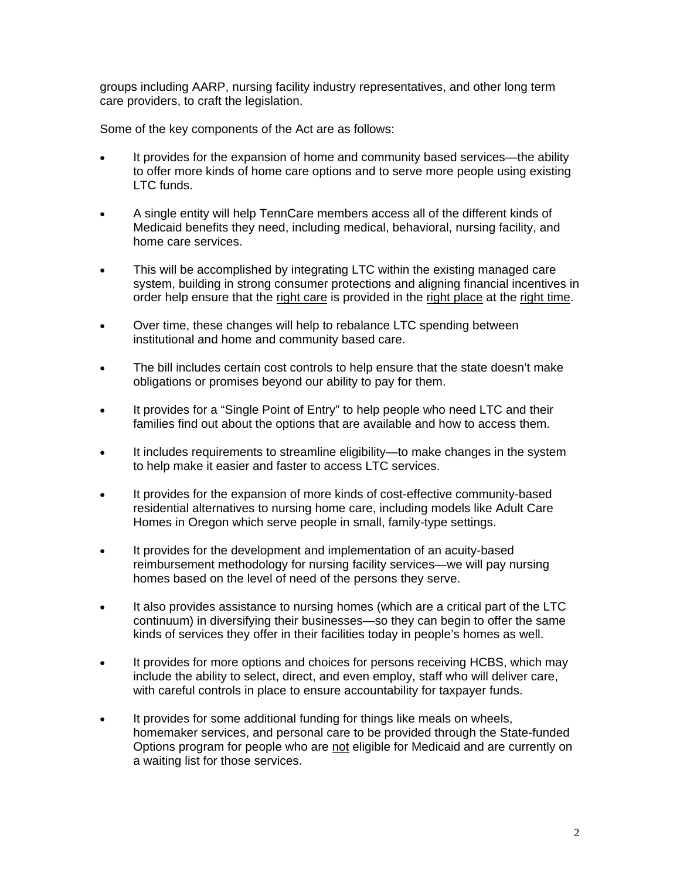groups including AARP, nursing facility industry representatives, and other long term care providers, to craft the legislation.

Some of the key components of the Act are as follows:

- It provides for the expansion of home and community based services—the ability to offer more kinds of home care options and to serve more people using existing LTC funds.
- A single entity will help TennCare members access all of the different kinds of Medicaid benefits they need, including medical, behavioral, nursing facility, and home care services.
- This will be accomplished by integrating LTC within the existing managed care system, building in strong consumer protections and aligning financial incentives in order help ensure that the right care is provided in the right place at the right time.
- Over time, these changes will help to rebalance LTC spending between institutional and home and community based care.
- The bill includes certain cost controls to help ensure that the state doesn't make obligations or promises beyond our ability to pay for them.
- It provides for a "Single Point of Entry" to help people who need LTC and their families find out about the options that are available and how to access them.
- It includes requirements to streamline eligibility—to make changes in the system to help make it easier and faster to access LTC services.
- It provides for the expansion of more kinds of cost-effective community-based residential alternatives to nursing home care, including models like Adult Care Homes in Oregon which serve people in small, family-type settings.
- It provides for the development and implementation of an acuity-based reimbursement methodology for nursing facility services—we will pay nursing homes based on the level of need of the persons they serve.
- It also provides assistance to nursing homes (which are a critical part of the LTC continuum) in diversifying their businesses—so they can begin to offer the same kinds of services they offer in their facilities today in people's homes as well.
- It provides for more options and choices for persons receiving HCBS, which may include the ability to select, direct, and even employ, staff who will deliver care, with careful controls in place to ensure accountability for taxpayer funds.
- It provides for some additional funding for things like meals on wheels, homemaker services, and personal care to be provided through the State-funded Options program for people who are not eligible for Medicaid and are currently on a waiting list for those services.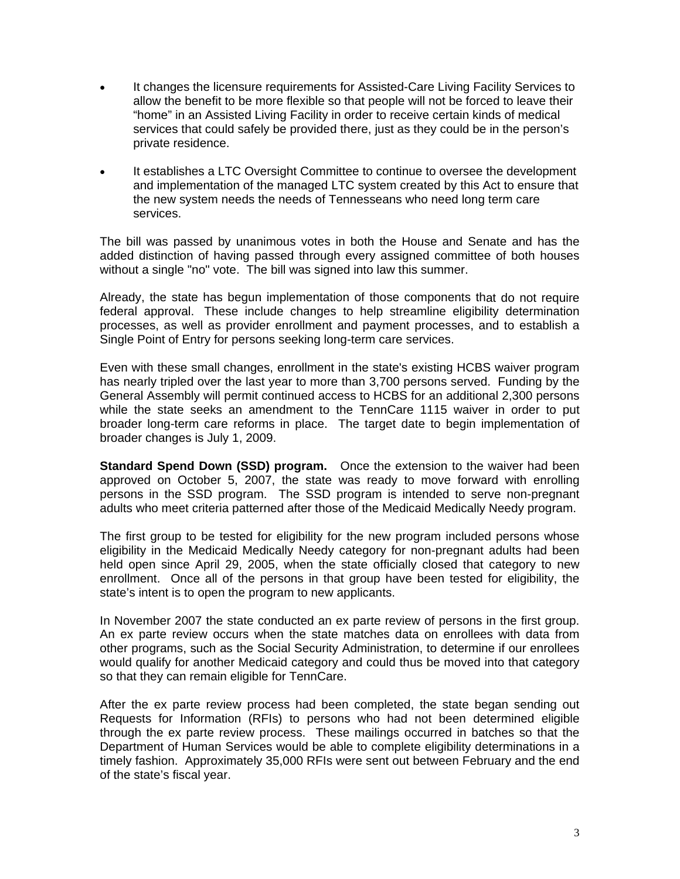- It changes the licensure requirements for Assisted-Care Living Facility Services to llow the benefit to be more flexible so that people will not be forced to leave their a "home" in an Assisted Living Facility in order to receive certain kinds of medical services that could safely be provided there, just as they could be in the person's private residence.
- It establishes a LTC Oversight Committee to continue to oversee the development and implementation of the managed LTC system created by this Act to ensure that the new system needs the needs of Tennesseans who need long term care services.

The bill was passed by unanimous votes in both the House and Senate and has the added distinction of having passed through every assigned committee of both houses without a single "no" vote. The bill was signed into law this summer.

Already, the state has begun implementation of those components that do not require federal approval. These include changes to help streamline eligibility determination processes, as well as provider enrollment and payment processes, and to establish a Single Point of Entry for persons seeking long-term care services.

Even with these small changes, enrollment in the state's existing HCBS waiver program has nearly tripled over the last year to more than 3,700 persons served. Funding by the General Assembly will permit continued access to HCBS for an additional 2,300 persons while the state seeks an amendment to the TennCare 1115 waiver in order to put broader long-term care reforms in place. The target date to begin implementation of broader changes is July 1, 2009.

**Standard Spend Down (SSD) program.** Once the extension to the waiver had been approved on October 5, 2007, the state was ready to move forward with enrolling persons in the SSD program. The SSD program is intended to serve non-pregnant adults who meet criteria patterned after those of the Medicaid Medically Needy program.

eligibility in the Medicaid Medically Needy category for non-pregnant adults had been The first group to be tested for eligibility for the new program included persons whose held open since April 29, 2005, when the state officially closed that category to new enrollment. Once all of the persons in that group have been tested for eligibility, the state's intent is to open the program to new applicants.

In November 2007 the state conducted an ex parte review of persons in the first group. An ex parte review occurs when the state matches data on enrollees with data from other programs, such as the Social Security Administration, to determine if our enrollees would qualify for another Medicaid category and could thus be moved into that category so that they can remain eligible for TennCare.

After the ex parte review process had been completed, the state began sending out Requests for Information (RFIs) to persons who had not been determined eligible through the ex parte review process. These mailings occurred in batches so that the Department of Human Services would be able to complete eligibility determinations in a timely fashion. Approximately 35,000 RFIs were sent out between February and the end of the state's fiscal year.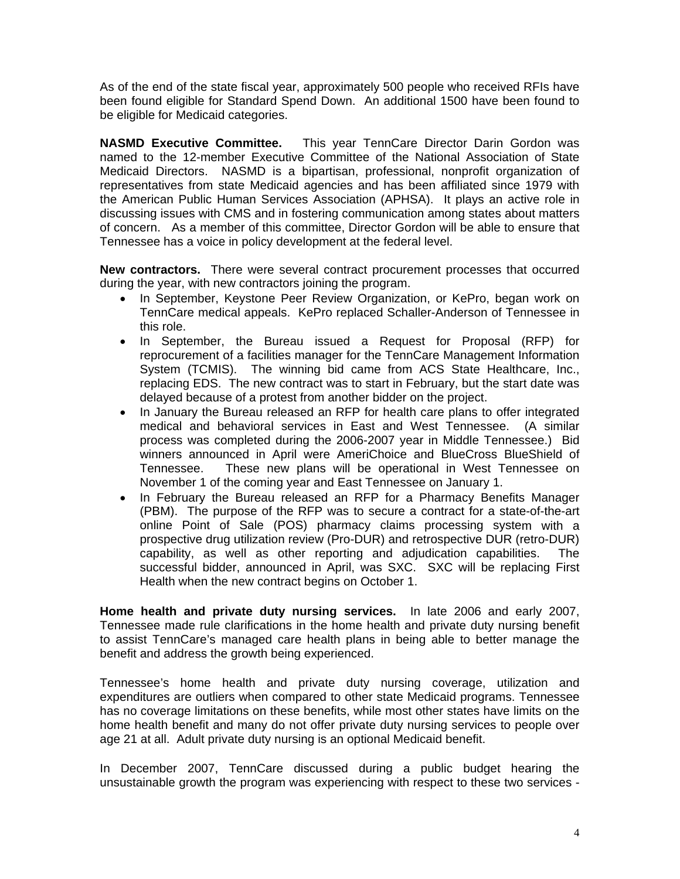As of the end of the state fiscal year, approximately 500 people who received RFIs have been found eligible for Standard Spend Down. An additional 1500 have been found to be eligible for Medicaid categories.

named to the 12-member Executive Committee of the National Association of State Medicaid Directors. NASMD is a bipartisan, professional, nonprofit organization of **NASMD Executive Committee.** This year TennCare Director Darin Gordon was representatives from state Medicaid agencies and has been affiliated since 1979 with the American Public Human Services Association (APHSA). It plays an active role in discussing issues with CMS and in fostering communication among states about matters of concern. As a member of this committee, Director Gordon will be able to ensure that Tennessee has a voice in policy development at the federal level.

**New contractors.** There were several contract procurement processes that occurred during the year, with new contractors joining the program.

- In September, Keystone Peer Review Organization, or KePro, began work on TennCare medical appeals. KePro replaced Schaller-Anderson of Tennessee in this role.
- System (TCMIS). The winning bid came from ACS State Healthcare, Inc., • In September, the Bureau issued a Request for Proposal (RFP) for reprocurement of a facilities manager for the TennCare Management Information replacing EDS. The new contract was to start in February, but the start date was delayed because of a protest from another bidder on the project.
- process was completed during the 2006-2007 year in Middle Tennessee.) Bid In January the Bureau released an RFP for health care plans to offer integrated medical and behavioral services in East and West Tennessee. (A similar winners announced in April were AmeriChoice and BlueCross BlueShield of Tennessee. These new plans will be operational in West Tennessee on November 1 of the coming year and East Tennessee on January 1.
- In February the Bureau released an RFP for a Pharmacy Benefits Manager online Point of Sale (POS) pharmacy claims processing system with a (PBM). The purpose of the RFP was to secure a contract for a state-of-the-art prospective drug utilization review (Pro-DUR) and retrospective DUR (retro-DUR) capability, as well as other reporting and adjudication capabilities. The successful bidder, announced in April, was SXC. SXC will be replacing First Health when the new contract begins on October 1.

**Home health and private duty nursing services.** In late 2006 and early 2007, Tennessee made rule clarifications in the home health and private duty nursing benefit to assist TennCare's managed care health plans in being able to better manage the benefit and address the growth being experienced.

expenditures are outliers when compared to other state Medicaid programs. Tennessee has no coverage limitations on these benefits, while most other states have limits on the Tennessee's home health and private duty nursing coverage, utilization and home health benefit and many do not offer private duty nursing services to people over age 21 at all. Adult private duty nursing is an optional Medicaid benefit.

unsustainable growth the program was experiencing with respect to these two services -In December 2007, TennCare discussed during a public budget hearing the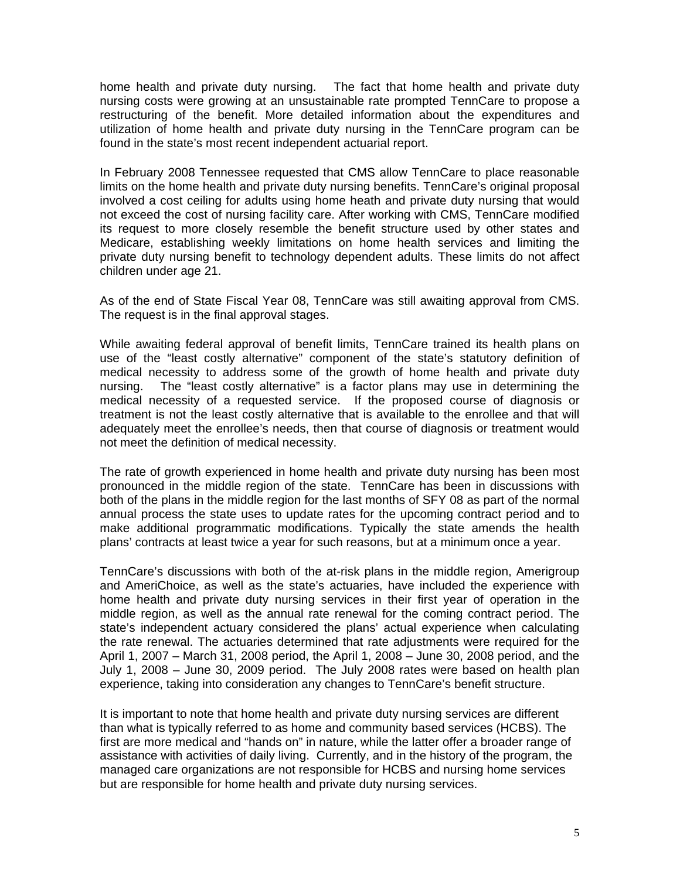home health and private duty nursing. The fact that home health and private duty nursing costs were growing at an unsustainable rate prompted TennCare to propose a restructuring of the benefit. More detailed information about the expenditures and utilization of home health and private duty nursing in the TennCare program can be found in the state's most recent independent actuarial report.

In February 2008 Tennessee requested that CMS allow TennCare to place reasonable limits on the home health and private duty nursing benefits. TennCare's original proposal involved a cost ceiling for adults using home heath and private duty nursing that would not exceed the cost of nursing facility care. After working with CMS, TennCare modified its request to more closely resemble the benefit structure used by other states and Medicare, establishing weekly limitations on home health services and limiting the private duty nursing benefit to technology dependent adults. These limits do not affect children under age 21.

As of the end of State Fiscal Year 08, TennCare was still awaiting approval from CMS. The request is in the final approval stages.

While awaiting federal approval of benefit limits, TennCare trained its health plans on use of the "least costly alternative" component of the state's statutory definition of medical necessity to address some of the growth of home health and private duty nursing. The "least costly alternative" is a factor plans may use in determining the medical necessity of a requested service. If the proposed course of diagnosis or treatment is not the least costly alternative that is available to the enrollee and that will adequately meet the enrollee's needs, then that course of diagnosis or treatment would not meet the definition of medical necessity.

The rate of growth experienced in home health and private duty nursing has been most pronounced in the middle region of the state. TennCare has been in discussions with both of the plans in the middle region for the last months of SFY 08 as part of the normal annual process the state uses to update rates for the upcoming contract period and to make additional programmatic modifications. Typically the state amends the health plans' contracts at least twice a year for such reasons, but at a minimum once a year.

TennCare's discussions with both of the at-risk plans in the middle region, Amerigroup and AmeriChoice, as well as the state's actuaries, have included the experience with home health and private duty nursing services in their first year of operation in the middle region, as well as the annual rate renewal for the coming contract period. The state's independent actuary considered the plans' actual experience when calculating the rate renewal. The actuaries determined that rate adjustments were required for the April 1, 2007 – March 31, 2008 period, the April 1, 2008 – June 30, 2008 period, and the July 1, 2008 – June 30, 2009 period. The July 2008 rates were based on health plan experience, taking into consideration any changes to TennCare's benefit structure.

It is important to note that home health and private duty nursing services are different than what is typically referred to as home and community based services (HCBS). The first are more medical and "hands on" in nature, while the latter offer a broader range of assistance with activities of daily living. Currently, and in the history of the program, the managed care organizations are not responsible for HCBS and nursing home services but are responsible for home health and private duty nursing services.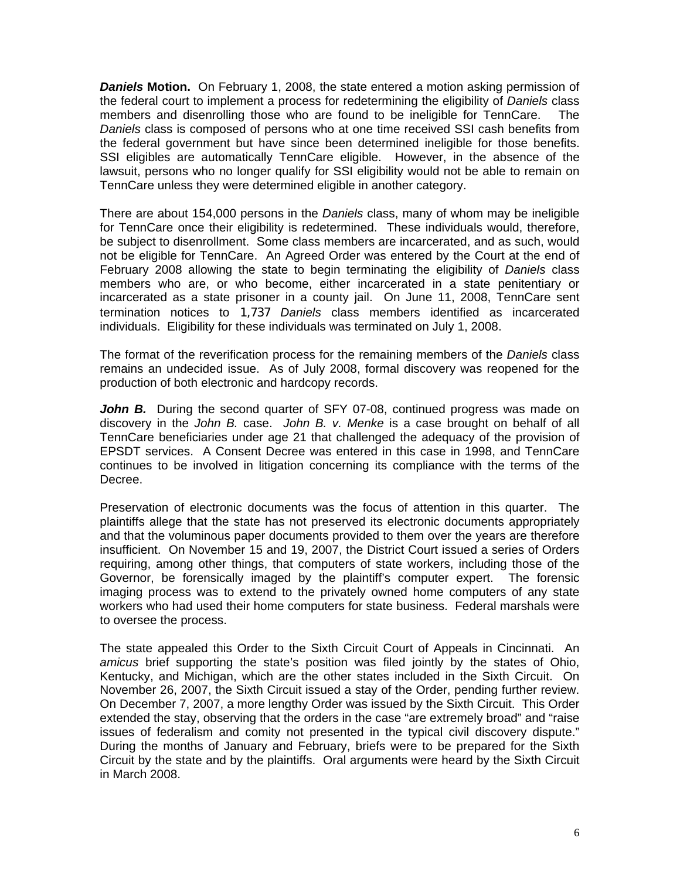**Daniels Motion.** On February 1, 2008, the state entered a motion asking permission of the federal court to implement a process for redetermining the eligibility of *Daniels* class members and disenrolling those who are found to be ineligible for TennCare. The *Daniels* class is composed of persons who at one time received SSI cash benefits from the federal government but have since been determined ineligible for those benefits. SSI eligibles are automatically TennCare eligible. However, in the absence of the lawsuit, persons who no longer qualify for SSI eligibility would not be able to remain on TennCare unless they were determined eligible in another category.

for TennCare once their eligibility is redetermined. These individuals would, therefore, be subject to disenrollment. Some class members are incarcerated, and as such, would There are about 154,000 persons in the *Daniels* class, many of whom may be ineligible not be eligible for TennCare. An Agreed Order was entered by the Court at the end of February 2008 allowing the state to begin terminating the eligibility of *Daniels* class members who are, or who become, either incarcerated in a state penitentiary or incarcerated as a state prisoner in a county jail. On June 11, 2008, TennCare sent termination notices to 1,737 *Daniels* class members identified as incarcerated individuals. Eligibility for these individuals was terminated on July 1, 2008.

remains an undecided issue. As of July 2008, formal discovery was reopened for the production of both electronic and hardcopy records. The format of the reverification process for the remaining members of the *Daniels* class

discovery in the *John B.* case. John B. v. Menke is a case brought on behalf of all TennCare beneficiaries under age 21 that challenged the adequacy of the provision of *John B.* During the second quarter of SFY 07-08, continued progress was made on EPSDT services. A Consent Decree was entered in this case in 1998, and TennCare continues to be involved in litigation concerning its compliance with the terms of the Decree.

plaintiffs allege that the state has not preserved its electronic documents appropriately and that the voluminous paper documents provided to them over the years are therefore Preservation of electronic documents was the focus of attention in this quarter. The insufficient. On November 15 and 19, 2007, the District Court issued a series of Orders requiring, among other things, that computers of state workers, including those of the Governor, be forensically imaged by the plaintiff's computer expert. The forensic imaging process was to extend to the privately owned home computers of any state workers who had used their home computers for state business. Federal marshals were to oversee the process.

amicus brief supporting the state's position was filed jointly by the states of Ohio, Kentucky, and Michigan, which are the other states included in the Sixth Circuit. On The state appealed this Order to the Sixth Circuit Court of Appeals in Cincinnati. An November 26, 2007, the Sixth Circuit issued a stay of the Order, pending further review. On December 7, 2007, a more lengthy Order was issued by the Sixth Circuit. This Order extended the stay, observing that the orders in the case "are extremely broad" and "raise issues of federalism and comity not presented in the typical civil discovery dispute." During the months of January and February, briefs were to be prepared for the Sixth Circuit by the state and by the plaintiffs. Oral arguments were heard by the Sixth Circuit in March 2008.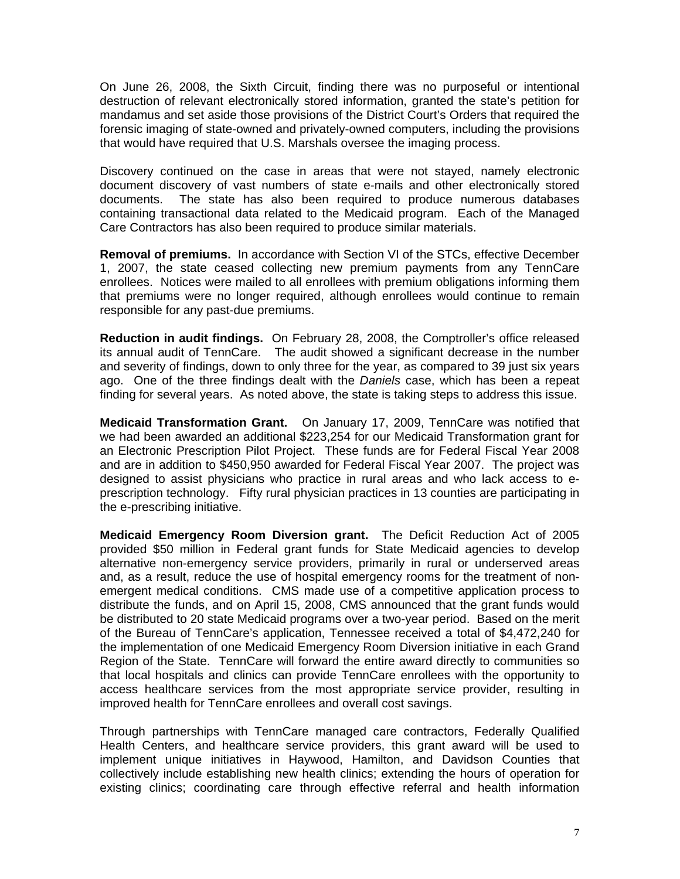On June 26, 2008, the Sixth Circuit, finding there was no purposeful or intentional destruction of relevant electronically stored information, granted the state's petition for mandamus and set aside those provisions of the District Court's Orders that required the forensic imaging of state-owned and privately-owned computers, including the provisions that would have required that U.S. Marshals oversee the imaging process.

document discovery of vast numbers of state e-mails and other electronically stored The state has also been required to produce numerous databases Discovery continued on the case in areas that were not stayed, namely electronic documents. containing transactional data related to the Medicaid program. Each of the Managed Care Contractors has also been required to produce similar materials.

1, 2007, the state ceased collecting new premium payments from any TennCare enrollees. Notices were mailed to all enrollees with premium obligations informing them **Removal of premiums.** In accordance with Section VI of the STCs, effective December that premiums were no longer required, although enrollees would continue to remain responsible for any past-due premiums.

its annual audit of TennCare. The audit showed a significant decrease in the number and severity of findings, down to only three for the year, as compared to 39 just six years **Reduction in audit findings.** On February 28, 2008, the Comptroller's office released ago. One of the three findings dealt with the *Daniels* case, which has been a repeat finding for several years. As noted above, the state is taking steps to address this issue.

an Electronic Prescription Pilot Project. These funds are for Federal Fiscal Year 2008 **Medicaid Transformation Grant.** On January 17, 2009, TennCare was notified that we had been awarded an additional \$223,254 for our Medicaid Transformation grant for and are in addition to \$450,950 awarded for Federal Fiscal Year 2007. The project was designed to assist physicians who practice in rural areas and who lack access to eprescription technology. Fifty rural physician practices in 13 counties are participating in the e-prescribing initiative.

provided \$50 million in Federal grant funds for State Medicaid agencies to develop alternative non-emergency service providers, primarily in rural or underserved areas **Medicaid Emergency Room Diversion grant.** The Deficit Reduction Act of 2005 and, as a result, reduce the use of hospital emergency rooms for the treatment of nonemergent medical conditions. CMS made use of a competitive application process to distribute the funds, and on April 15, 2008, CMS announced that the grant funds would be distributed to 20 state Medicaid programs over a two-year period. Based on the merit of the Bureau of TennCare's application, Tennessee received a total of \$4,472,240 for the implementation of one Medicaid Emergency Room Diversion initiative in each Grand Region of the State. TennCare will forward the entire award directly to communities so that local hospitals and clinics can provide TennCare enrollees with the opportunity to access healthcare services from the most appropriate service provider, resulting in improved health for TennCare enrollees and overall cost savings.

Health Centers, and healthcare service providers, this grant award will be used to implement unique initiatives in Haywood, Hamilton, and Davidson Counties that Through partnerships with TennCare managed care contractors, Federally Qualified collectively include establishing new health clinics; extending the hours of operation for existing clinics; coordinating care through effective referral and health information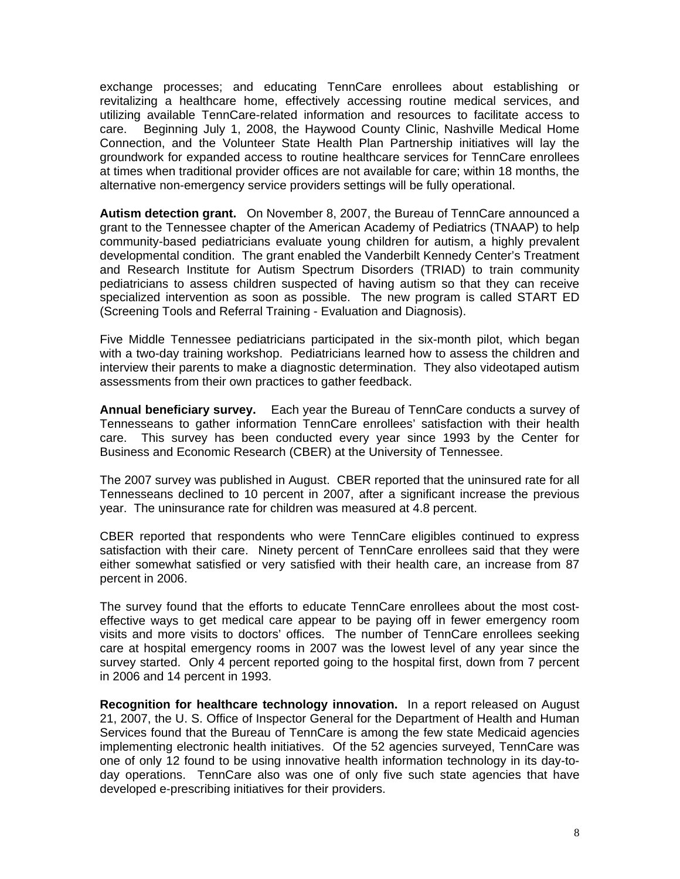exchange processes; and educating TennCare enrollees about establishing or revitalizing a healthcare home, effectively accessing routine medical services, and utilizing available TennCare-related information and resources to facilitate access to care. Beginning July 1, 2008, the Haywood County Clinic, Nashville Medical Home Connection, and the Volunteer State Health Plan Partnership initiatives will lay the groundwork for expanded access to routine healthcare services for TennCare enrollees at times when traditional provider offices are not available for care; within 18 months, the alternative non-emergency service providers settings will be fully operational.

**Autism detection grant.** On November 8, 2007, the Bureau of TennCare announced a grant to the Tennessee chapter of the American Academy of Pediatrics (TNAAP) to help community-based pediatricians evaluate young children for autism, a highly prevalent developmental condition. The grant enabled the Vanderbilt Kennedy Center's Treatment and Research Institute for Autism Spectrum Disorders (TRIAD) to train community pediatricians to assess children suspected of having autism so that they can receive specialized intervention as soon as possible. The new program is called START ED (Screening Tools and Referral Training - Evaluation and Diagnosis).

with a two-day training workshop. Pediatricians learned how to assess the children and interview their parents to make a diagnostic determination. They also videotaped autism Five Middle Tennessee pediatricians participated in the six-month pilot, which began assessments from their own practices to gather feedback.

This survey has been conducted every year since 1993 by the Center for **Annual beneficiary survey.** Each year the Bureau of TennCare conducts a survey of Tennesseans to gather information TennCare enrollees' satisfaction with their health care. Business and Economic Research (CBER) at the University of Tennessee.

Tennesseans declined to 10 percent in 2007, after a significant increase the previous year. The uninsurance rate for children was measured at 4.8 percent. The 2007 survey was published in August. CBER reported that the uninsured rate for all

satisfaction with their care. Ninety percent of TennCare enrollees said that they were either somewhat satisfied or very satisfied with their health care, an increase from 87 CBER reported that respondents who were TennCare eligibles continued to express percent in 2006.

effective ways to get medical care appear to be paying off in fewer emergency room visits and more visits to doctors' offices. The number of TennCare enrollees seeking The survey found that the efforts to educate TennCare enrollees about the most costcare at hospital emergency rooms in 2007 was the lowest level of any year since the survey started. Only 4 percent reported going to the hospital first, down from 7 percent in 2006 and 14 percent in 1993.

21, 2007, the U. S. Office of Inspector General for the Department of Health and Human Services found that the Bureau of TennCare is among the few state Medicaid agencies **Recognition for healthcare technology innovation.** In a report released on August implementing electronic health initiatives. Of the 52 agencies surveyed, TennCare was one of only 12 found to be using innovative health information technology in its day-today operations. TennCare also was one of only five such state agencies that have developed e-prescribing initiatives for their providers.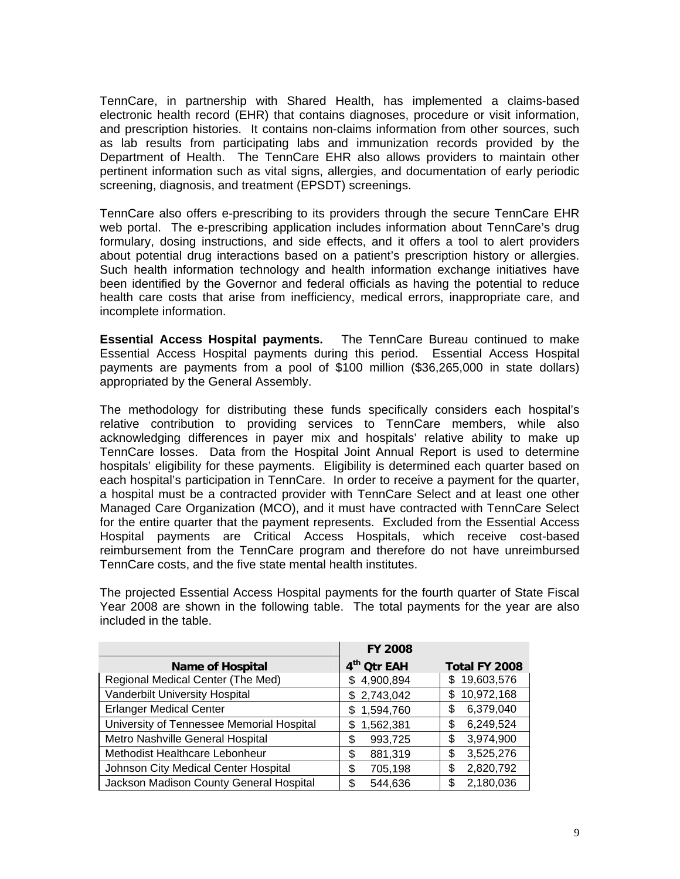TennCare, in partnership with Shared Health, has implemented a claims-based electronic health record (EHR) that contains diagnoses, procedure or visit information, and prescription histories. It contains non-claims information from other sources, such as lab results from participating labs and immunization records provided by the Department of Health. The TennCare EHR also allows providers to maintain other pertinent information such as vital signs, allergies, and documentation of early periodic screening, diagnosis, and treatment (EPSDT) screenings.

web portal. The e-prescribing application includes information about TennCare's drug formulary, dosing instructions, and side effects, and it offers a tool to alert providers TennCare also offers e-prescribing to its providers through the secure TennCare EHR about potential drug interactions based on a patient's prescription history or allergies. Such health information technology and health information exchange initiatives have been identified by the Governor and federal officials as having the potential to reduce health care costs that arise from inefficiency, medical errors, inappropriate care, and incomplete information.

Essential Access Hospital payments during this period. Essential Access Hospital ayments are payments from a pool of \$100 million (\$36,265,000 in state dollars) p **Essential Access Hospital payments.** The TennCare Bureau continued to make appropriated by the General Assembly.

relative contribution to providing services to TennCare members, while also acknowledging differences in payer mix and hospitals' relative ability to make up The methodology for distributing these funds specifically considers each hospital's TennCare losses. Data from the Hospital Joint Annual Report is used to determine hospitals' eligibility for these payments. Eligibility is determined each quarter based on each hospital's participation in TennCare. In order to receive a payment for the quarter, a hospital must be a contracted provider with TennCare Select and at least one other Managed Care Organization (MCO), and it must have contracted with TennCare Select for the entire quarter that the payment represents. Excluded from the Essential Access Hospital payments are Critical Access Hospitals, which receive cost-based reimbursement from the TennCare program and therefore do not have unreimbursed TennCare costs, and the five state mental health institutes.

Year 2008 are shown in the following table. The total payments for the year are also included in the table. The projected Essential Access Hospital payments for the fourth quarter of State Fiscal

|                                           | <b>FY 2008</b>          |                 |
|-------------------------------------------|-------------------------|-----------------|
| <b>Name of Hospital</b>                   | 4 <sup>th</sup> Otr EAH | Total FY 2008   |
| Regional Medical Center (The Med)         | \$4,900,894             | \$19,603,576    |
| Vanderbilt University Hospital            | \$2,743,042             | \$10,972,168    |
| <b>Erlanger Medical Center</b>            | 1,594,760<br>\$         | 6,379,040       |
| University of Tennessee Memorial Hospital | 1,562,381<br>S          | 6,249,524<br>\$ |
| Metro Nashville General Hospital          | 993,725<br>\$           | 3,974,900<br>\$ |
| Methodist Healthcare Lebonheur            | 881,319<br>\$           | 3,525,276       |
| Johnson City Medical Center Hospital      | 705,198<br>\$           | 2,820,792<br>\$ |
| Jackson Madison County General Hospital   | 544,636<br>S.           | 2,180,036<br>\$ |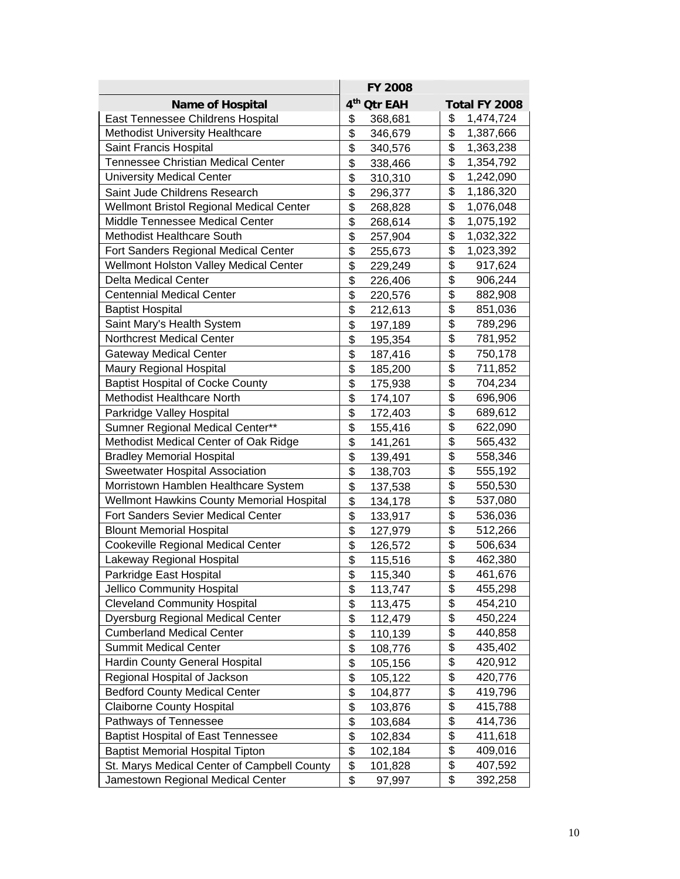|                                                                       | <b>FY 2008</b>          |                                      |
|-----------------------------------------------------------------------|-------------------------|--------------------------------------|
| <b>Name of Hospital</b>                                               | 4 <sup>th</sup> Qtr EAH | Total FY 2008                        |
| East Tennessee Childrens Hospital                                     | \$<br>368,681           | \$<br>1,474,724                      |
| Methodist University Healthcare                                       | \$<br>346,679           | \$<br>1,387,666                      |
| Saint Francis Hospital                                                | \$<br>340,576           | \$<br>1,363,238                      |
| <b>Tennessee Christian Medical Center</b>                             | \$<br>338,466           | \$<br>1,354,792                      |
| <b>University Medical Center</b>                                      | \$<br>310,310           | \$<br>1,242,090                      |
| Saint Jude Childrens Research                                         | \$<br>296,377           | \$<br>1,186,320                      |
| Wellmont Bristol Regional Medical Center                              | \$<br>268,828           | \$<br>1,076,048                      |
| Middle Tennessee Medical Center                                       | \$<br>268,614           | \$<br>1,075,192                      |
| <b>Methodist Healthcare South</b>                                     | \$<br>257,904           | \$<br>1,032,322                      |
| Fort Sanders Regional Medical Center                                  | \$<br>255,673           | \$<br>1,023,392                      |
| Wellmont Holston Valley Medical Center                                | \$<br>229,249           | \$<br>917,624                        |
| <b>Delta Medical Center</b>                                           | \$<br>226,406           | $\overline{\mathfrak{s}}$<br>906,244 |
| <b>Centennial Medical Center</b>                                      | \$<br>220,576           | $\overline{\mathfrak{s}}$<br>882,908 |
| <b>Baptist Hospital</b>                                               | \$<br>212,613           | \$<br>851,036                        |
| Saint Mary's Health System                                            | \$<br>197,189           | \$<br>789,296                        |
| Northcrest Medical Center                                             | \$<br>195,354           | \$<br>781,952                        |
| <b>Gateway Medical Center</b>                                         | \$                      | \$<br>750,178                        |
| Maury Regional Hospital                                               | 187,416<br>\$           | $\overline{\$}$                      |
|                                                                       | 185,200<br>\$           | 711,852<br>\$                        |
| <b>Baptist Hospital of Cocke County</b><br>Methodist Healthcare North | 175,938                 | 704,234<br>\$                        |
|                                                                       | \$<br>174,107           | 696,906<br>\$                        |
| Parkridge Valley Hospital                                             | \$<br>172,403           | 689,612<br>$\overline{\$}$           |
| Sumner Regional Medical Center**                                      | \$<br>155,416           | 622,090                              |
| Methodist Medical Center of Oak Ridge                                 | \$<br>141,261           | \$<br>565,432                        |
| <b>Bradley Memorial Hospital</b>                                      | \$<br>139,491           | \$<br>558,346                        |
| Sweetwater Hospital Association                                       | \$<br>138,703           | \$<br>555,192                        |
| Morristown Hamblen Healthcare System                                  | \$<br>137,538           | \$<br>550,530                        |
| Wellmont Hawkins County Memorial Hospital                             | \$<br>134,178           | $\overline{\mathfrak{s}}$<br>537,080 |
| <b>Fort Sanders Sevier Medical Center</b>                             | \$<br>133,917           | \$<br>536,036                        |
| <b>Blount Memorial Hospital</b>                                       | \$<br>127,979           | \$<br>512,266                        |
| Cookeville Regional Medical Center                                    | \$<br>126,572           | \$<br>506,634                        |
| Lakeway Regional Hospital                                             | \$<br>115,516           | \$<br>462,380                        |
| Parkridge East Hospital                                               | \$<br>115,340           | \$<br>461,676                        |
| Jellico Community Hospital                                            | \$<br>113,747           | \$<br>455,298                        |
| <b>Cleveland Community Hospital</b>                                   | \$<br>113,475           | \$<br>454,210                        |
| Dyersburg Regional Medical Center                                     | \$<br>112,479           | \$<br>450,224                        |
| <b>Cumberland Medical Center</b>                                      | \$<br>110,139           | $\overline{\mathfrak{s}}$<br>440,858 |
| <b>Summit Medical Center</b>                                          | \$<br>108,776           | \$<br>435,402                        |
| Hardin County General Hospital                                        | \$<br>105,156           | \$<br>420,912                        |
| Regional Hospital of Jackson                                          | \$<br>105,122           | \$<br>420,776                        |
| <b>Bedford County Medical Center</b>                                  | \$<br>104,877           | \$<br>419,796                        |
| <b>Claiborne County Hospital</b>                                      | \$<br>103,876           | \$<br>415,788                        |
| Pathways of Tennessee                                                 | \$<br>103,684           | $\overline{\mathbf{S}}$<br>414,736   |
| <b>Baptist Hospital of East Tennessee</b>                             | \$<br>102,834           | \$<br>411,618                        |
| <b>Baptist Memorial Hospital Tipton</b>                               | \$<br>102,184           | \$<br>409,016                        |
| St. Marys Medical Center of Campbell County                           | \$<br>101,828           | \$<br>407,592                        |
| Jamestown Regional Medical Center                                     | \$<br>97,997            | \$<br>392,258                        |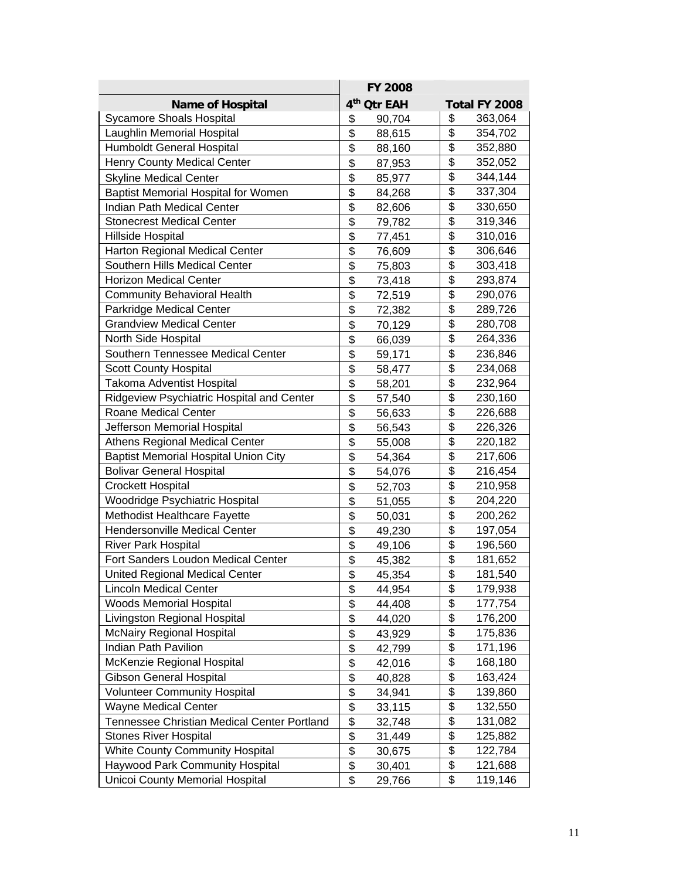|                                             | <b>FY 2008</b>          |                                      |
|---------------------------------------------|-------------------------|--------------------------------------|
| <b>Name of Hospital</b>                     | 4 <sup>th</sup> Otr EAH | Total FY 2008                        |
| <b>Sycamore Shoals Hospital</b>             | \$<br>90,704            | \$<br>363,064                        |
| Laughlin Memorial Hospital                  | \$<br>88,615            | \$<br>354,702                        |
| <b>Humboldt General Hospital</b>            | \$<br>88,160            | $\overline{\mathfrak{s}}$<br>352,880 |
| <b>Henry County Medical Center</b>          | \$<br>87,953            | \$<br>352,052                        |
| <b>Skyline Medical Center</b>               | \$<br>85,977            | \$<br>344,144                        |
| <b>Baptist Memorial Hospital for Women</b>  | \$<br>84,268            | \$<br>337,304                        |
| Indian Path Medical Center                  | \$<br>82,606            | $\overline{\mathfrak{s}}$<br>330,650 |
| <b>Stonecrest Medical Center</b>            | \$<br>79,782            | \$<br>319,346                        |
| Hillside Hospital                           | \$<br>77,451            | $\overline{\mathfrak{s}}$<br>310,016 |
| <b>Harton Regional Medical Center</b>       | \$<br>76,609            | \$<br>306,646                        |
| Southern Hills Medical Center               | \$<br>75,803            | \$<br>303,418                        |
| <b>Horizon Medical Center</b>               | \$<br>73,418            | $\overline{\mathfrak{s}}$<br>293,874 |
| <b>Community Behavioral Health</b>          | \$<br>72,519            | $\overline{\mathfrak{s}}$<br>290,076 |
| Parkridge Medical Center                    | \$<br>72,382            | \$<br>289,726                        |
| <b>Grandview Medical Center</b>             | \$<br>70,129            | \$<br>280,708                        |
| North Side Hospital                         | \$<br>66,039            | \$<br>264,336                        |
| Southern Tennessee Medical Center           | \$<br>59,171            | \$<br>236,846                        |
| <b>Scott County Hospital</b>                | \$<br>58,477            | $\overline{\mathfrak{s}}$<br>234,068 |
| <b>Takoma Adventist Hospital</b>            | \$<br>58,201            | \$<br>232,964                        |
| Ridgeview Psychiatric Hospital and Center   | \$<br>57,540            | \$<br>230,160                        |
| <b>Roane Medical Center</b>                 | \$<br>56,633            | \$<br>226,688                        |
| Jefferson Memorial Hospital                 | \$<br>56,543            | $\overline{\$}$<br>226,326           |
| Athens Regional Medical Center              | \$<br>55,008            | \$<br>220,182                        |
| <b>Baptist Memorial Hospital Union City</b> | \$<br>54,364            | \$<br>217,606                        |
| <b>Bolivar General Hospital</b>             | \$<br>54,076            | \$<br>216,454                        |
| <b>Crockett Hospital</b>                    | \$<br>52,703            | \$<br>210,958                        |
| Woodridge Psychiatric Hospital              | \$<br>51,055            | $\overline{\mathfrak{s}}$<br>204,220 |
| Methodist Healthcare Fayette                | \$<br>50,031            | \$<br>200,262                        |
| Hendersonville Medical Center               | \$<br>49,230            | \$<br>197,054                        |
| <b>River Park Hospital</b>                  | \$<br>49,106            | \$<br>196,560                        |
| Fort Sanders Loudon Medical Center          | \$<br>45,382            | \$<br>181,652                        |
| <b>United Regional Medical Center</b>       | \$<br>45,354            | \$<br>181,540                        |
| <b>Lincoln Medical Center</b>               | \$<br>44,954            | \$<br>179,938                        |
| <b>Woods Memorial Hospital</b>              | \$<br>44,408            | \$<br>177,754                        |
| Livingston Regional Hospital                | \$<br>44,020            | \$<br>176,200                        |
| <b>McNairy Regional Hospital</b>            | \$<br>43,929            | $\overline{\mathfrak{s}}$<br>175,836 |
| Indian Path Pavilion                        | \$<br>42,799            | \$<br>171,196                        |
| McKenzie Regional Hospital                  | \$<br>42,016            | \$<br>168,180                        |
| <b>Gibson General Hospital</b>              | \$<br>40,828            | \$<br>163,424                        |
| <b>Volunteer Community Hospital</b>         | \$<br>34,941            | \$<br>139,860                        |
| <b>Wayne Medical Center</b>                 | \$<br>33,115            | \$<br>132,550                        |
| Tennessee Christian Medical Center Portland | \$<br>32,748            | \$<br>131,082                        |
| <b>Stones River Hospital</b>                | \$<br>31,449            | \$<br>125,882                        |
| <b>White County Community Hospital</b>      | \$<br>30,675            | \$<br>122,784                        |
| Haywood Park Community Hospital             | \$<br>30,401            | \$<br>121,688                        |
| <b>Unicoi County Memorial Hospital</b>      | \$<br>29,766            | \$<br>119,146                        |
|                                             |                         |                                      |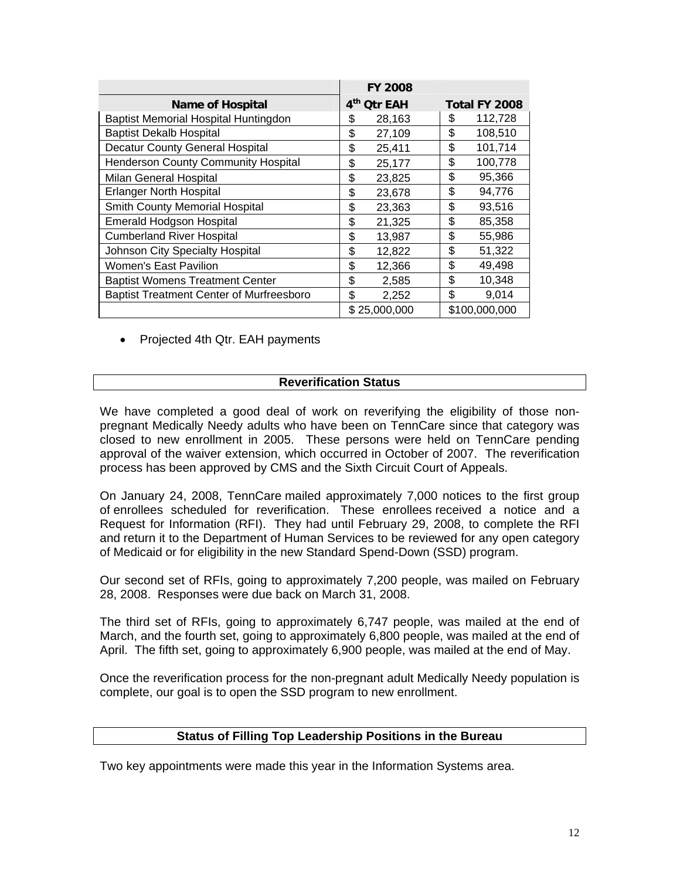|                                                 | <b>FY 2008</b>          |               |
|-------------------------------------------------|-------------------------|---------------|
| <b>Name of Hospital</b>                         | 4 <sup>th</sup> Otr EAH | Total FY 2008 |
| Baptist Memorial Hospital Huntingdon            | 28,163<br>\$            | 112,728<br>S  |
| <b>Baptist Dekalb Hospital</b>                  | \$<br>27,109            | \$<br>108,510 |
| <b>Decatur County General Hospital</b>          | \$<br>25,411            | \$<br>101,714 |
| <b>Henderson County Community Hospital</b>      | \$<br>25,177            | \$<br>100,778 |
| Milan General Hospital                          | \$<br>23,825            | \$<br>95,366  |
| <b>Erlanger North Hospital</b>                  | \$<br>23,678            | \$<br>94,776  |
| Smith County Memorial Hospital                  | \$<br>23,363            | \$<br>93,516  |
| <b>Emerald Hodgson Hospital</b>                 | \$<br>21,325            | \$<br>85,358  |
| <b>Cumberland River Hospital</b>                | \$<br>13,987            | \$<br>55,986  |
| Johnson City Specialty Hospital                 | \$<br>12,822            | \$<br>51,322  |
| <b>Women's East Pavilion</b>                    | \$<br>12,366            | \$<br>49,498  |
| <b>Baptist Womens Treatment Center</b>          | \$<br>2,585             | \$<br>10,348  |
| <b>Baptist Treatment Center of Murfreesboro</b> | \$<br>2,252             | \$<br>9,014   |
|                                                 | \$25,000,000            | \$100,000,000 |

• Projected 4th Qtr. EAH payments

## **Reverification Status**

We have completed a good deal of work on reverifying the eligibility of those nonpregnant Medically Needy adults who have been on TennCare since that category was closed to new enrollment in 2005. These persons were held on TennCare pending approval of the waiver extension, which occurred in October of 2007. The reverification process has been approved by CMS and the Sixth Circuit Court of Appeals.

of enrollees scheduled for reverification. These enrollees received a notice and a Request for Information (RFI). They had until February 29, 2008, to complete the RFI On January 24, 2008, TennCare mailed approximately 7,000 notices to the first group and return it to the Department of Human Services to be reviewed for any open category of Medicaid or for eligibility in the new Standard Spend-Down (SSD) program.

Our second set of RFIs, going to approximately 7,200 people, was mailed on February 28, 2008. Responses were due back on March 31, 2008.

March, and the fourth set, going to approximately 6,800 people, was mailed at the end of April. The fifth set, going to approximately 6,900 people, was mailed at the end of May. The third set of RFIs, going to approximately 6,747 people, was mailed at the end of

Once the reverification process for the non-pregnant adult Medically Needy population is complete, our goal is to open the SSD program to new enrollment.

#### **Status of Filling Top Leadership Positions in the Bureau**

Two key appointments were made this year in the Information Systems area.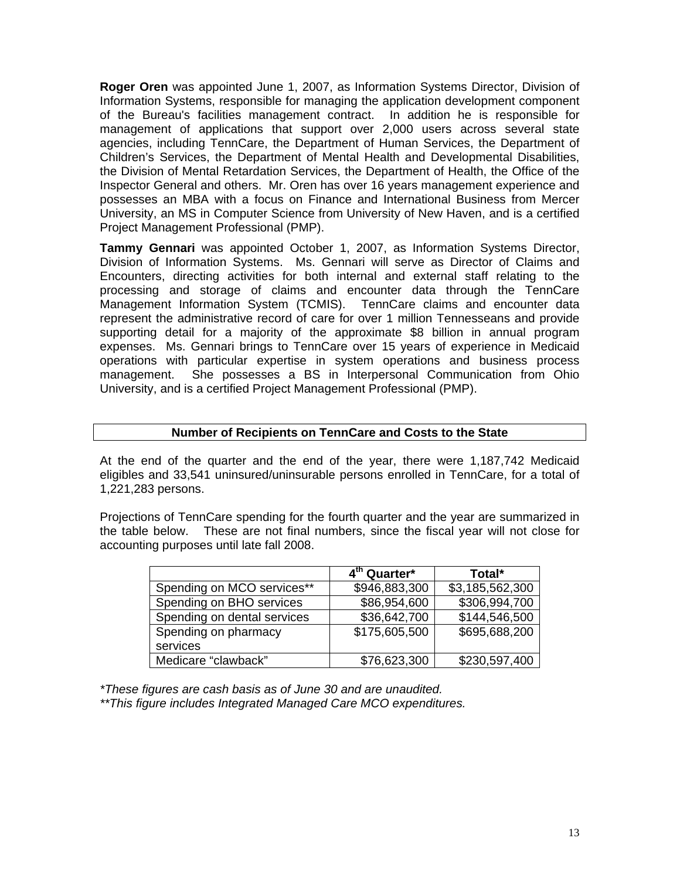**Roger Oren** was appointed June 1, 2007, as Information Systems Director, Division of Information Systems, responsible for managing the application development component of the Bureau's facilities management contract. In addition he is responsible for management of applications that support over 2,000 users across several state agencies, including TennCare, the Department of Human Services, the Department of Children's Services, the Department of Mental Health and Developmental Disabilities, the Division of Mental Retardation Services, the Department of Health, the Office of the Inspector General and others. Mr. Oren has over 16 years management experience and possesses an MBA with a focus on Finance and International Business from Mercer University, an MS in Computer Science from University of New Haven, and is a certified Project Management Professional (PMP).

Division of Information Systems. Ms. Gennari will serve as Director of Claims and **Tammy Gennari** was appointed October 1, 2007, as Information Systems Director, Encounters, directing activities for both internal and external staff relating to the processing and storage of claims and encounter data through the TennCare Management Information System (TCMIS). TennCare claims and encounter data represent the administrative record of care for over 1 million Tennesseans and provide supporting detail for a majority of the approximate \$8 billion in annual program expenses. Ms. Gennari brings to TennCare over 15 years of experience in Medicaid operations with particular expertise in system operations and business process management. She possesses a BS in Interpersonal Communication from Ohio University, and is a certified Project Management Professional (PMP).

#### **Number of Recipients on TennCare and Costs to the State**

At the end of the quarter and the end of the year, there were 1,187,74 2 Medicaid eligibles and 33,541 uninsured/uninsurable persons enrolled in TennCare, for a total of 1,221,283 persons.

the table below. These are not final numbers, since the fiscal year will not close for Projections of TennCare spending for the fourth quarter and the year are summarized in accounting purposes until late fall 2008.

|                             | 4 <sup>th</sup> Quarter* | Total*          |
|-----------------------------|--------------------------|-----------------|
| Spending on MCO services**  | \$946,883,300            | \$3,185,562,300 |
| Spending on BHO services    | \$86,954,600             | \$306,994,700   |
| Spending on dental services | \$36,642,700             | \$144,546,500   |
| Spending on pharmacy        | \$175,605,500            | \$695,688,200   |
| services                    |                          |                 |
| Medicare "clawback"         | \$76,623,300             | \$230,597,400   |

*\*These fig of June 30 and d. ures are cash basis as are unaudite* \*\* This figure includes Integrated Managed Care MCO expenditures.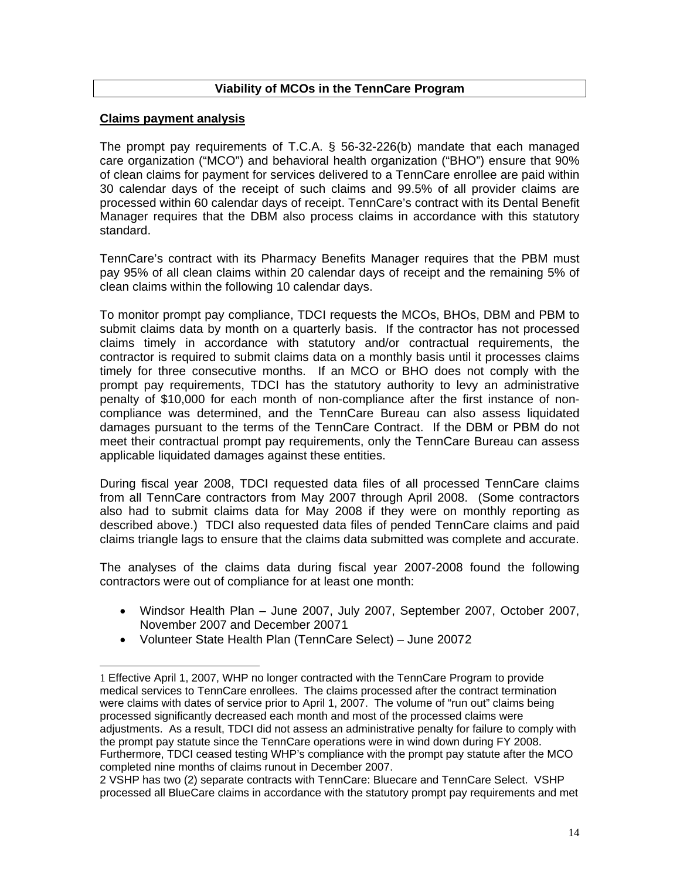## **Viability of MCOs in the TennCare Program**

## **Claims payment analysis**

 $\overline{\phantom{a}}$ 

 $\overline{\phantom{a}}$ 

The prompt pay requirements of T.C.A.  $\S$  56-32-226(b) mandate that each managed are organization ("MCO") and behavioral health organization ("BHO") ensure that 90% c of clean claims for payment for services delivered to a TennCare enrollee are paid within 30 calendar days of the receipt of such claims and 99.5% of all provider claims are processed within 60 calendar days of receipt. TennCare's contract with its Dental Benefit Manager requires that the DBM also process claims in accordance with this statutory standard.

TennCare's contract with its Pharmacy Benefits Manager requires that the PBM must pay 95% of all clean claims within 20 calendar days of receipt and the remaining 5% of clean claims within the following 10 calendar days.

To monitor prompt pay compliance, TDCI requests the MCOs, BHOs, DBM and PBM to submit claims data by month on a quarterly basis. If the contractor has not processed claims timely in accordance with statutory and/or contractual requirements, the contractor is required to submit claims data on a monthly basis until it processes claims timely for three consecutive months. If an MCO or BHO does not comply with the prompt pay requirements, TDCI has the statutory authority to levy an administrative penalty of \$10,000 for each month of non-compliance after the first instance of noncompliance was determined, and the TennCare Bureau can also assess liquidated damages pursuant to the terms of the TennCare Contract. If the DBM or PBM do not meet their contractual prompt pay requirements, only the TennCare Bureau can assess applicable liquidated damages against these entities.

During fiscal year 2008, TDCI requested data files of all processed TennCare claims from all TennCare contractors from May 2007 through April 2008. (Some contractors also had to submit claims data for May 2008 if they were on monthly reporting as described above.) TDCI also requested data files of pended TennCare claims and paid claims triangle lags to ensure that the claims data submitted was complete and accurate.

ontractors were out of compliance for at least one month: c The analyses of the claims data during fiscal year 2007-2008 found the following

- Windsor Health Plan June 2007, July 2007, September 2007, October 2007, November 2007 and December 20071
- Volunteer State Health Plan (TennCare Select) June 2007[2](#page-13-0)

<span id="page-13-0"></span><sup>1</sup> Effective April 1, 2007, WHP no longer contracted with the TennCare Program to provide medical services to TennCare enrollees. The claims processed after the contract termination adjustments. As a result, TDCI did not assess an administrative penalty for failure to comply with the prompt pay statute since the TennCare operations were in wind down during FY 2008. were claims with dates of service prior to April 1, 2007. The volume of "run out" claims being processed significantly decreased each month and most of the processed claims were Furthermore, TDCI ceased testing WHP's compliance with the prompt pay statute after the MCO completed nine months of claims runout in December 2007.

processed all BlueCare claims in accordance with the statutory prompt pay requirements and met 2 VSHP has two (2) separate contracts with TennCare: Bluecare and TennCare Select. VSHP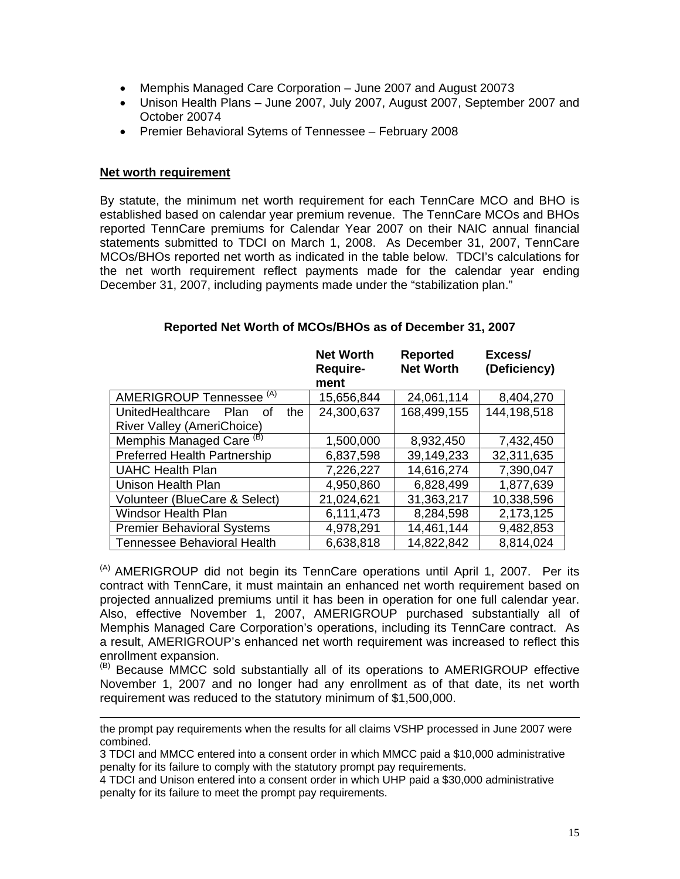- Memphis Managed Care Corporation June 2007 and August 2007[3](#page-14-0)
- Unison Health Plans June 2007, July 2007, August 2007, September 2007 and October 2007[4](#page-14-1)
- Premier Behavioral Sytems of Tennessee February 2008

#### **Net worth requirement**

l

By statute, the minimum net worth requirement for each TennCare MCO and BHO is established based on calendar year premium revenue. The TennCare MCOs and BHOs reported TennCare premiums for Calendar Year 2007 on their NAIC annual financial statements submitted to TDCI on March 1, 2008. As December 31, 2007, TennCare MCOs/BHOs reported net worth as indicated in the table below. TDCI's calculations for the net worth requirement reflect payments made for the calendar year ending December 31, 2007, including payments made under the "stabilization plan."

|                                              | <b>Net Worth</b><br><b>Require-</b> | <b>Reported</b><br><b>Net Worth</b> | Excess/<br>(Deficiency) |
|----------------------------------------------|-------------------------------------|-------------------------------------|-------------------------|
|                                              | ment                                |                                     |                         |
| AMERIGROUP Tennessee <sup>(A)</sup>          | 15,656,844                          | 24,061,114                          | 8,404,270               |
| UnitedHealthcare<br><b>Plan</b><br>the<br>Ωf | 24,300,637                          | 168,499,155                         | 144,198,518             |
| River Valley (AmeriChoice)                   |                                     |                                     |                         |
| Memphis Managed Care <sup>(B)</sup>          | 1,500,000                           | 8,932,450                           | 7,432,450               |
| <b>Preferred Health Partnership</b>          | 6,837,598                           | 39,149,233                          | 32,311,635              |
| <b>UAHC Health Plan</b>                      | 7,226,227                           | 14,616,274                          | 7,390,047               |
| Unison Health Plan                           | 4,950,860                           | 6,828,499                           | 1,877,639               |
| Volunteer (BlueCare & Select)                | 21,024,621                          | 31,363,217                          | 10,338,596              |
| <b>Windsor Health Plan</b>                   | 6,111,473                           | 8,284,598                           | 2,173,125               |
| <b>Premier Behavioral Systems</b>            | 4,978,291                           | 14,461,144                          | 9,482,853               |
| <b>Tennessee Behavioral Health</b>           | 6,638,818                           | 14,822,842                          | 8,814,024               |

## **Reported Net Worth of MCOs/BHOs as of December 31, 2007**

 $(A)$  AMERIGROUP did not begin its TennCare operations until April 1, 2007. Per its contract with TennCare, it must maintain an enhanced net worth requirement based on projected annualized premiums until it has been in operation for one full calendar year. Also, effective November 1, 2007, AMERIGROUP purchased substantially all of Memphis Managed Care Corporation's operations, including its TennCare contract. As a result, AMERIGROUP's enhanced net worth requirement was increased to reflect this enrollment expansion.

<sup>(B)</sup> Because MMCC sold substantially all of its operations to AMERIGROUP effective November 1, 2007 and no longer had any enrollment as of that date, its net worth requirement was reduced to the statutory minimum of \$1,500,000.

the prompt pay requirements when the results for all claims VSHP processed in June 2007 were combined.

<span id="page-14-0"></span>3 TDCI and MMCC entered into a consent order in which MMCC paid a \$10,000 administrative penalty for its failure to comply with the statutory prompt pay requirements.

<span id="page-14-1"></span>4 TDCI and Unison entered into a consent order in which UHP paid a \$30,000 administrative penalty for its failure to meet the prompt pay requirements.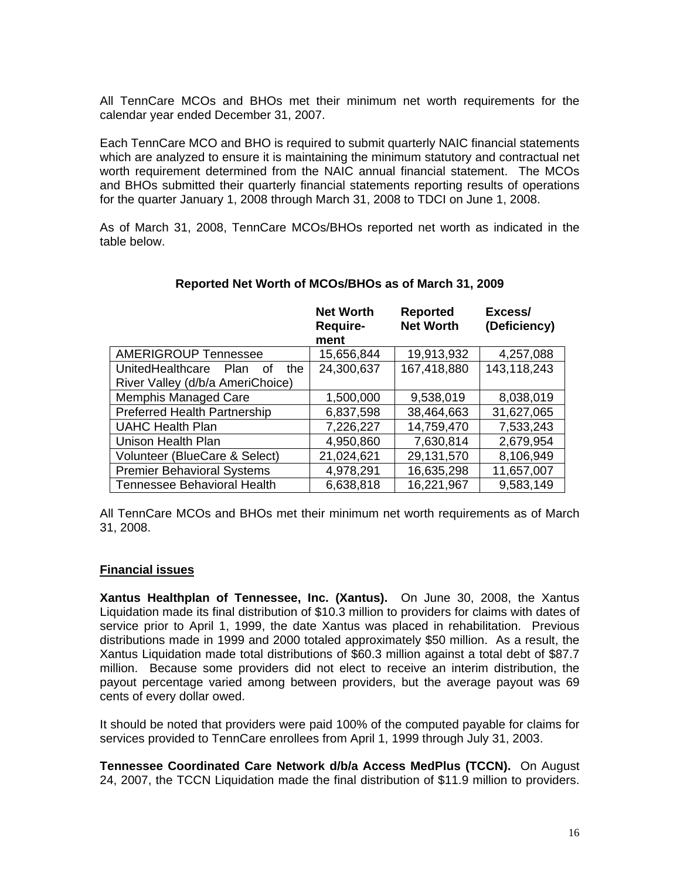All TennCare MCOs and BHOs met their minimum net worth requirements for the calendar year ended December 31, 2007.

Each TennCare MCO and BHO is required to submit quarterly NAIC financial statements which are analyzed to ensure it is maintaining the minimum statutory and contractual net worth requirement determined from the NAIC annual financial statement. The MCOs and BHOs submitted their quarterly financial statements reporting results of operations for the quarter January 1, 2008 through March 31, 2008 to TDCI on June 1, 2008.

As of March 31, 2008, TennCare MCOs/BHOs reported net worth as indicated in the table below.

|                                              | <b>Net Worth</b><br><b>Require-</b> | <b>Reported</b><br><b>Net Worth</b> | Excess/<br>(Deficiency) |
|----------------------------------------------|-------------------------------------|-------------------------------------|-------------------------|
|                                              | ment                                |                                     |                         |
| <b>AMERIGROUP Tennessee</b>                  | 15,656,844                          | 19,913,932                          | 4,257,088               |
| UnitedHealthcare<br><b>Plan</b><br>the<br>Ωf | 24,300,637                          | 167,418,880                         | 143,118,243             |
| River Valley (d/b/a AmeriChoice)             |                                     |                                     |                         |
| <b>Memphis Managed Care</b>                  | 1,500,000                           | 9,538,019                           | 8,038,019               |
| <b>Preferred Health Partnership</b>          | 6,837,598                           | 38,464,663                          | 31,627,065              |
| <b>UAHC Health Plan</b>                      | 7,226,227                           | 14,759,470                          | 7,533,243               |
| Unison Health Plan                           | 4,950,860                           | 7,630,814                           | 2,679,954               |
| Volunteer (BlueCare & Select)                | 21,024,621                          | 29,131,570                          | 8,106,949               |
| <b>Premier Behavioral Systems</b>            | 4,978,291                           | 16,635,298                          | 11,657,007              |
| Tennessee Behavioral Health                  | 6,638,818                           | 16,221,967                          | 9,583,149               |

## **Reported Net Worth of MCOs/BHOs as of March 31, 2009**

All TennCare MCOs and BHOs met their minimum net worth requirements as of March 31 , 2008.

#### **Financial issues**

**Xantus Healthplan of Tennessee, Inc. (Xantus).** On June 30, 2008, the Xantus Liquidation made its final distribution of \$10.3 million to providers for claims with dates of service prior to April 1, 1999, the date Xantus was placed in rehabilitation. Previous distributions made in 1999 and 2000 totaled approximately \$50 million. As a result, the Xantus Liquidation made total distributions of \$60.3 million against a total debt of \$87.7 million. Because some providers did not elect to receive an interim distribution, the payout percentage varied among between providers, but the average payout was 69 cents of every dollar owed.

services provided to TennCare enrollees from April 1, 1999 through July 31, 2003. It should be noted that providers were paid 100% of the computed payable for claims for

24, 2007, the TCCN Liquidation made the final distribution of \$11.9 million to providers. **Tennessee Coordinated Care Network d/b/a Access MedPlus (TCCN).** On August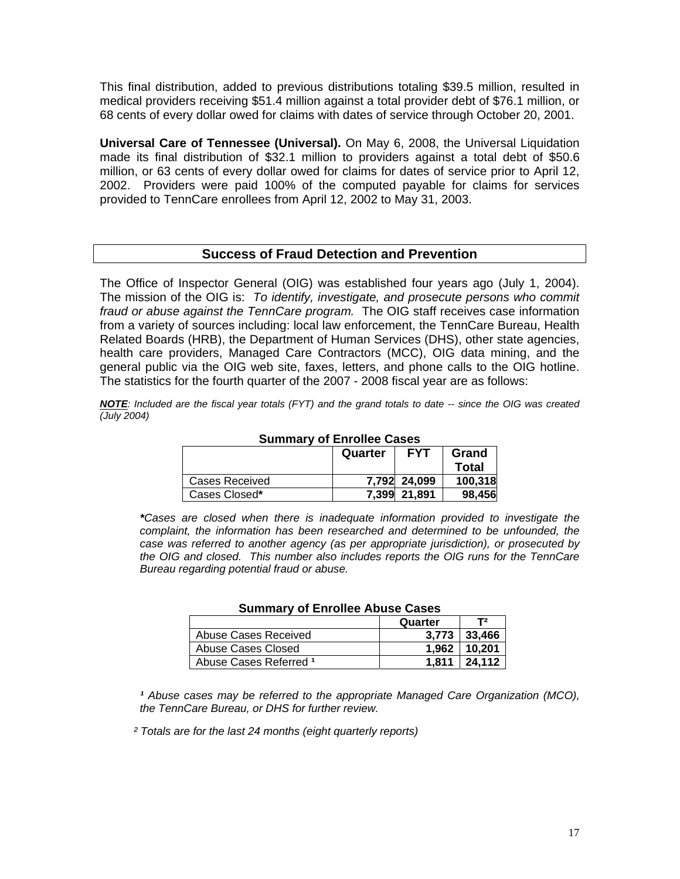This final distribution, added to previous distributions totaling \$39.5 million, resulted in medical providers receiving \$51.4 million against a total provider debt of \$76.1 million, or 68 cents of every dollar owed for claims with dates of service through October 20, 2001.

million, or 63 cents of every dollar owed for claims for dates of service prior to April 12, **Universal Care of Tennessee (Universal).** On May 6, 2008, the Universal Liquidation made its final distribution of \$32.1 million to providers against a total debt of \$50.6 2002. Providers were paid 100% of the computed payable for claims for services provided to TennCare enrollees from April 12, 2002 to May 31, 2003.

## **Success of Fraud Detection and Prevention**

The Office of Inspector General (OIG) was established four years ago (July 1, 2004). The mission of the OIG is: To identify, investigate, and prosecute persons who commit fraud or abuse against the TennCare program. The OIG staff receives case information from a variety of sources including: local law enforcement, the TennCare Bureau, Health Related Boards (HRB), the Department of Human Services (DHS), other state agencies, health care providers, Managed Care Contractors (MCC), OIG data mining, and the general public via the OIG web site, faxes, letters, and phone calls to the OIG hotline. The statistics for the fourth quarter of the 2007 - 2008 fiscal year are as follows:

*NOTE: Included are the fiscal year totals (FYT) and the grand totals to date -- since the OIG was created (July 2004)* 

|                | Quarter | <b>FYT</b>   | Grand   |  |  |
|----------------|---------|--------------|---------|--|--|
|                |         |              | Total   |  |  |
| Cases Received |         | 7,792 24,099 | 100,318 |  |  |
| Cases Closed*  |         | 7.399 21.891 | 98.456  |  |  |

#### **Summary of Enrollee Cases**

\*Cases are closed when there is inadequate information provided to investigate the *complaint, the information has been researched and determined to be unfounded, the case was referred to another agency (as per appropriate jurisdiction), or prosecuted by the OIG and closed. This number also includes reports the OIG runs for the TennCare Bureau regarding potential fraud or abuse.* 

| <b>Udililial Y UL ETHURUG ANUSU UUSUS</b> |         |                |  |
|-------------------------------------------|---------|----------------|--|
|                                           | Quarter | T <sub>2</sub> |  |
| Abuse Cases Received                      | 3.773   | 33.466         |  |
| Abuse Cases Closed                        | 1.962   | 10.201         |  |
| Abuse Cases Referred 1                    | 1.811   | 24.112         |  |

#### **Summary of Enrollee Abuse Cases**

<sup>*t*</sup> Abuse cases may be referred to the appropriate Managed Care Organization (MCO), the TennCare Bureau, or DHS for further review.

 *² Totals are for the last 24 months (eight quarterly reports)*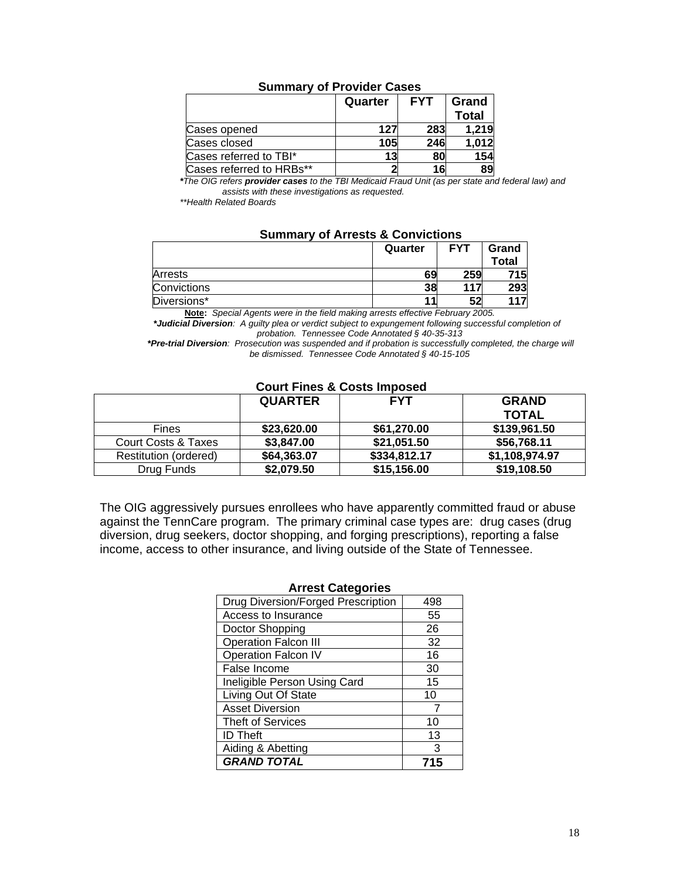|                          | Quarter | <b>FYT</b> | Grand<br><b>Total</b> |
|--------------------------|---------|------------|-----------------------|
| Cases opened             | 127     | 283        | 1,219                 |
| Cases closed             | 105     | 246        | 1,012                 |
| Cases referred to TBI*   | 13      | 80         | 154                   |
| Cases referred to HRBs** |         | 16         | 89                    |

## **Summary of Provider Cases**

*\* The OIG refers provider cases to the TBI Medicaid Fraud Unit (as per state and federal law) and assists with these investigations as requested.* 

 *\* \*Health Related Boards* 

|  |  |  |  | <b>Summary of Arrests &amp; Convictions</b> |
|--|--|--|--|---------------------------------------------|
|--|--|--|--|---------------------------------------------|

|             | Quarter | <b>FYT</b> | Grand        |
|-------------|---------|------------|--------------|
|             |         |            | <b>Total</b> |
| Arrests     | 69      | 259        | 715          |
| Convictions | 38      | 117        | 293          |
| Diversions* |         | 52         |              |

**Note:** *Special Agents were in the field making arrests effective February 2005.* 

*\*Judicial Diversion: A guilty plea or verdict subject to expungement following successful completion of* probation. Tennessee Code Annotated § 40-35-313

\*Pre-trial Diversion: Prosecution was suspended and if probation is successfully completed, the charge will *be dismissed. Tennessee Code Annotated § 40-15-105* 

## **Court Fines & Costs Imposed**

|                       | <b>QUARTER</b> | <b>FYT</b>   | <b>GRAND</b>   |
|-----------------------|----------------|--------------|----------------|
|                       |                |              | <b>TOTAL</b>   |
| <b>Fines</b>          | \$23,620,00    | \$61,270,00  | \$139,961.50   |
| Court Costs & Taxes   | \$3,847.00     | \$21,051.50  | \$56,768.11    |
| Restitution (ordered) | \$64,363.07    | \$334,812.17 | \$1,108,974.97 |
| Drug Funds            | \$2,079.50     | \$15,156.00  | \$19,108.50    |

The OIG aggressively pursues enrollees who have apparently committed fraud or abuse against the TennCare program. The primary criminal case types are: drug cases (drug diversion, drug seekers, doctor shopping, and forging prescriptions), reporting a false income, access to other insurance, and living outside of the State of Tennessee.

| <b>Arrest Categories</b>           |     |  |
|------------------------------------|-----|--|
| Drug Diversion/Forged Prescription | 498 |  |
| Access to Insurance                | 55  |  |
| Doctor Shopping                    | 26  |  |
| <b>Operation Falcon III</b>        | 32  |  |
| Operation Falcon IV                | 16  |  |
| False Income                       | 30  |  |
| Ineligible Person Using Card       | 15  |  |
| Living Out Of State                | 10  |  |
| <b>Asset Diversion</b>             |     |  |
| <b>Theft of Services</b>           | 10  |  |
| <b>ID Theft</b>                    | 13  |  |
| Aiding & Abetting                  | 3   |  |
| <b>GRAND TOTAL</b>                 | 715 |  |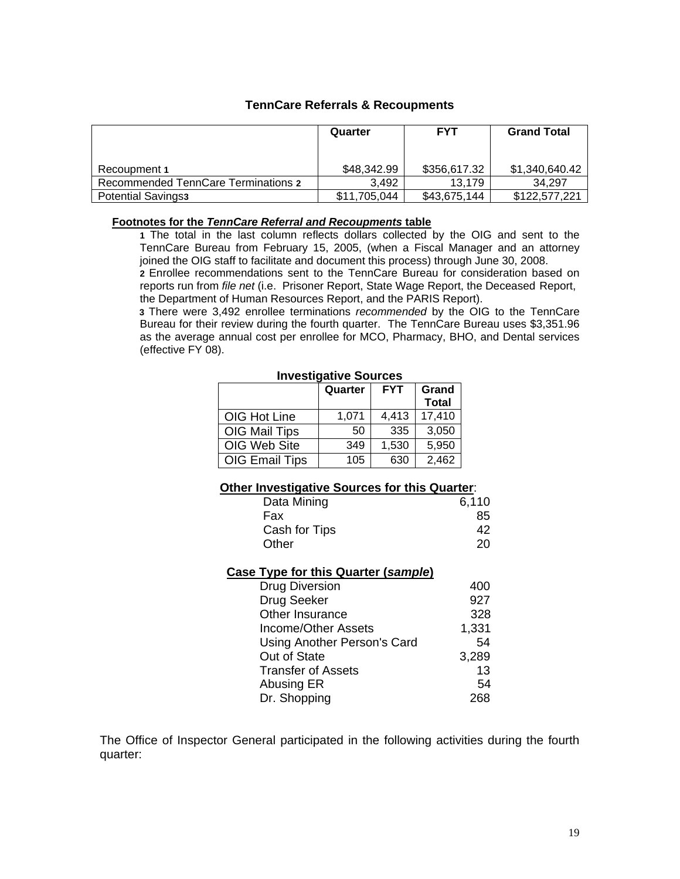## **TennCare Referrals & Recoupments**

|                                     | Quarter      | <b>FYT</b>   | <b>Grand Total</b> |
|-------------------------------------|--------------|--------------|--------------------|
| Recoupment 1                        | \$48,342.99  | \$356,617.32 | \$1,340,640.42     |
| Recommended TennCare Terminations 2 | 3.492        | 13.179       | 34.297             |
| <b>Potential Savings3</b>           | \$11,705,044 | \$43,675,144 | \$122,577,221      |

#### **Footnotes for the** *TennCare Referral and Recoupments* **table**

**1** The total in the last column reflects dollars collected by the OIG and sent to the TennCare Bureau from February 15, 2005, (when a Fiscal Manager and an attorney joined the OIG staff to facilitate and document this process) through June 30, 2008.

**2** Enrollee recommendations sent to the TennCare Bureau for consideration based on reports run from *file net* (i.e. Prisoner Report, State Wage Report, the Deceased Report, the Department of Human Resources Report, and the PARIS Report).

Bureau for their review during the fourth quarter. The TennCare Bureau uses \$3,351.96  **3** There were 3,492 enrollee terminations *recommended* by the OIG to the TennCare as the average annual cost per enrollee for MCO, Pharmacy, BHO, and Dental services (effective FY 08).

## **Investigative Sources**

|                | Quarter | <b>FYT</b> | Grand        |
|----------------|---------|------------|--------------|
|                |         |            | <b>Total</b> |
| OIG Hot Line   | 1,071   | 4,413      | 17,410       |
| OIG Mail Tips  | 50      | 335        | 3,050        |
| OIG Web Site   | 349     | 1,530      | 5,950        |
| OIG Email Tips | 105     | 630        | 2,462        |

#### **Other Investigative Sources for this Quarter:**

| Data Mining   | 6,110 |
|---------------|-------|
| Fax           | 85    |
| Cash for Tips | 42    |
| Other         | 20    |

#### **Case Type for this Quarter (***sample***)**

| <b>Drug Diversion</b>       | 400   |
|-----------------------------|-------|
| Drug Seeker                 | 927   |
| Other Insurance             | 328   |
| Income/Other Assets         | 1,331 |
| Using Another Person's Card | 54    |
| Out of State                | 3,289 |
| <b>Transfer of Assets</b>   | 13    |
| Abusing ER                  | 54    |
| Dr. Shopping                | 268   |

The Office of Inspector General participated in the following activities during the fourth quarter :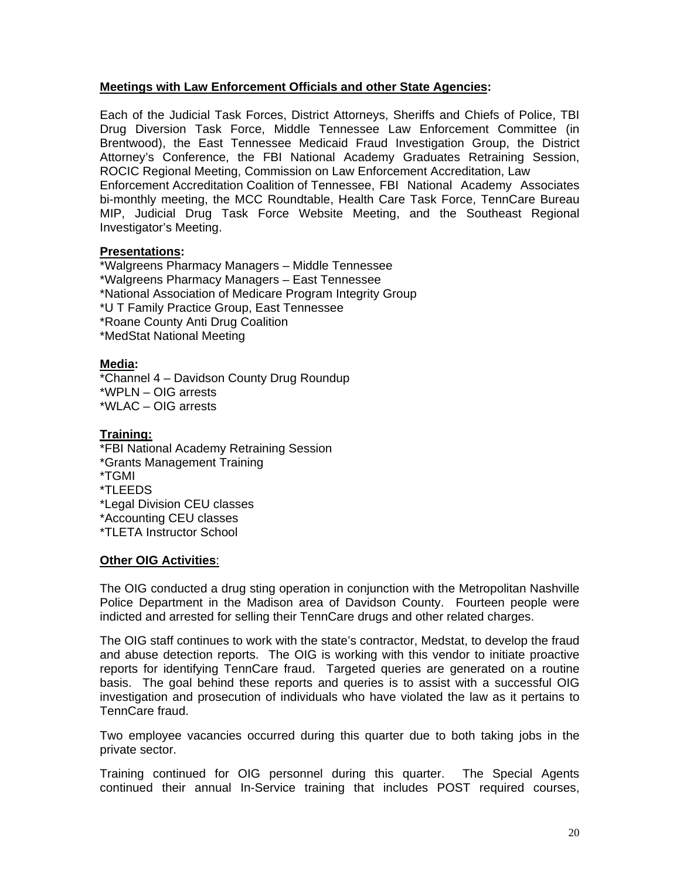## **Meetings with Law Enforcement Officials and other State Agencies:**

Each of the Judicial Task Forces, District Attorneys, Sheriffs and Chiefs of Police, TBI Drug Diversion Task Force, Middle Tennessee Law Enforcement Committee (in Brentwood), the East Tennessee Medicaid Fraud Investigation Group, the District Attorney's Conference, the FBI National Academy Graduates Retraining Session, ROCIC Regional Meeting, Commission on Law Enforcement Accreditation, Law Enforcement Accreditation Coalition of Tennessee, FBI National Academy Associates bi-monthly meeting, the MCC Roundtable, Health Care Task Force, TennCare Bureau MIP, Judicial Drug Task Force Website Meeting, and the Southeast Regional Investigator's Meeting.

#### **Presentations:**

\*Walgreens Pharmacy Managers – Middle Tennessee \*Walgreens Pharmacy Managers – East Tennessee \*National Association of Medicare Program Integrity Group \*U T Family Practice Group, East Tennessee \*Roane County Anti Drug Coalition \*MedStat National Meeting

## **Media:**

\*Channel 4 – Davidson County Drug Roundup \*WPLN – OIG arrests \*WLAC – OIG arrests

## **Training:**

\*FBI Natio nal Academy Retraining Session \*Grants Ma nagement Training \*Legal Division CEU classes \*TGMI \*TLEEDS \*Accounting CEU classes \*TLETA Instructor School

#### **Other OIG Activities**:

The OIG conducted a drug sting operation in conjunction with the Metropolitan Nashville Police Department in the Madison area of Davidson County. Fourteen people were indicted and arrested for selling their TennCare drugs and other related charges.

The OIG staff continues to work with the state's contractor, Medstat, to develop the fraud and abuse detection reports. The OIG is working with this vendor to initiate proactive reports for identifying TennCare fraud. Targeted queries are generated on a routine basis. The goal behind these reports and queries is to assist with a successful OIG investigation and prosecution of individuals who have violated the law as it pertains to TennCare fraud.

Two employee vacancies occurred during this quarter due to both taking jobs in the private sector.

Training continued for OIG personnel during this quarter. The Special Agents continued their annual In-Service training that includes POST required courses,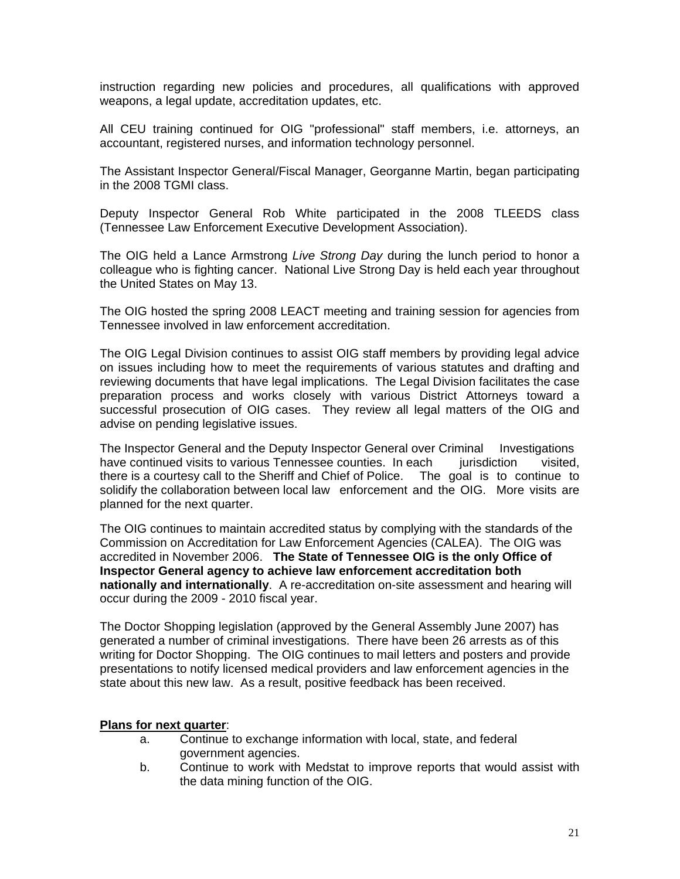instruction regarding new policies and procedures, all qualifications with approved weapons, a legal update, accreditation updates, etc.

All CEU training continued for OIG "professional" staff members, i.e. attorneys, an accountant, registered nurses, and information technology personnel.

The Assistant Inspector General/Fiscal Manager, Georganne Martin, began participating in the 2008 TGMI class.

Deputy Inspector General Rob White participated in the 2008 TLEEDS class (Tennessee Law Enforcement Executive Development Association).

The OIG held a Lance Armstrong Live Strong Day during the lunch period to honor a colleague who is fighting cancer. National Live Strong Day is held each year throughout the United States on May 13.

The OIG hosted the spring 2008 LEACT meeting and training session for agencies from Tennessee involved in law enforcement accreditation.

The OIG Legal Division continues to assist OIG staff members by providing legal advice on issues including how to meet the requirements of various statutes and drafting and reviewing documents that have legal implications. The Legal Division facilitates the case preparation process and works closely with various District Attorneys toward a successful prosecution of OIG cases. They review all legal matters of the OIG and advise on pending legislative issues.

have continued visits to various Tennessee counties. In each jurisdiction visited, solidify the collaboration between local law enforcement and the OIG. More visits are The Inspector General and the Deputy Inspector General over Criminal Investigations there is a courtesy call to the Sheriff and Chief of Police. The goal is to continue to planned for the next quarter. İ

Commission on Accreditation for Law Enforcement Agencies (CALEA). The OIG was The OIG continues to maintain accredited status by complying with the standards of the accredited in November 2006. **The State of Tennessee OIG is the only Office of Inspector General agency to achieve law enforcement accreditation both nationally and internationally**. A re-accreditation on-site assessment and hearing will occur during the 2009 - 2010 fiscal year.

The Doctor Shopping legislation (approved by the General Assembly June 2007) has generated a number of criminal investigations. There have been 26 arrests as of this writing for Doctor Shopping. The OIG continues to mail letters and posters and provide presentations to notify licensed medical providers and law enforcement agencies in the state about this new law. As a result, positive feedback has been received.

#### **Plans for next quarter:**

- a. Continue to exchange information with local, state, and federal government agencies.
- b. Continue to work with Medstat to improve reports that would assist with the data mining function of the OIG.